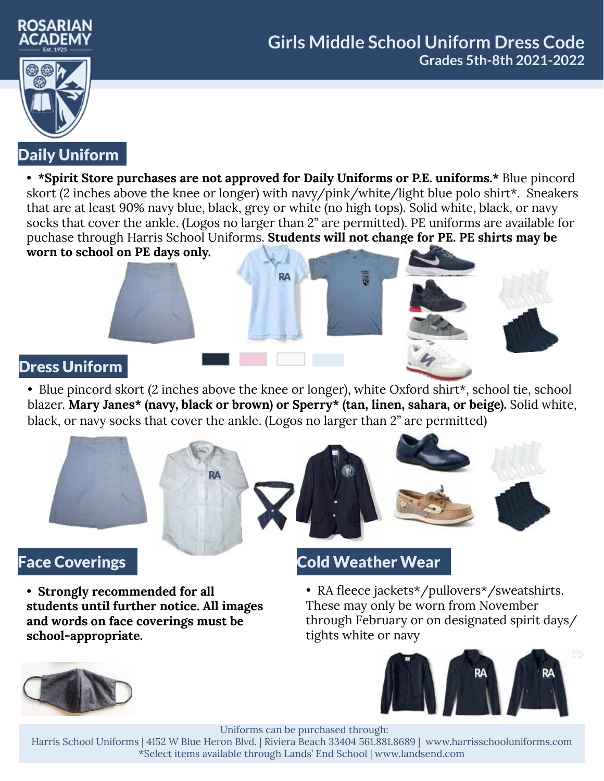



## Daily Uniform

• **\*Spirit Store purchases are not approved for Daily Uniforms or P.E. uniforms.\*** Blue pincord skort (2 inches above the knee or longer) with navy/pink/white/light blue polo shirt\*. Sneakers that are at least 90% navy blue, black, grey or white (no high tops). Solid white, black, or navy socks that cover the ankle. (Logos no larger than 2" are permitted). PE uniforms are available for puchase through Harris School Uniforms. **Students will not change for PE. PE shirts may be worn to school on PE days only.**

RA

#### Dress Uniform

• Blue pincord skort (2 inches above the knee or longer), white Oxford shirt\*, school tie, school blazer. **Mary Janes\* (navy, black or brown) or Sperry\* (tan, linen, sahara, or beige).** Solid white, black, or navy socks that cover the ankle. (Logos no larger than 2" are permitted)





### Face Coverings

• **Strongly recommended for all students until further notice. All images and words on face coverings must be school-appropriate.**

## Cold Weather Wear

• RA fleece jackets\*/pullovers\*/sweatshirts. These may only be worn from November through February or on designated spirit days/ tights white or navy





Uniforms can be purchased through:

Harris School Uniforms | 4152 W Blue Heron Blvd. | Riviera Beach 33404 561.881.8689 | www.harrisschooluniforms.com \*Select items available through Lands' End School | www.landsend.com